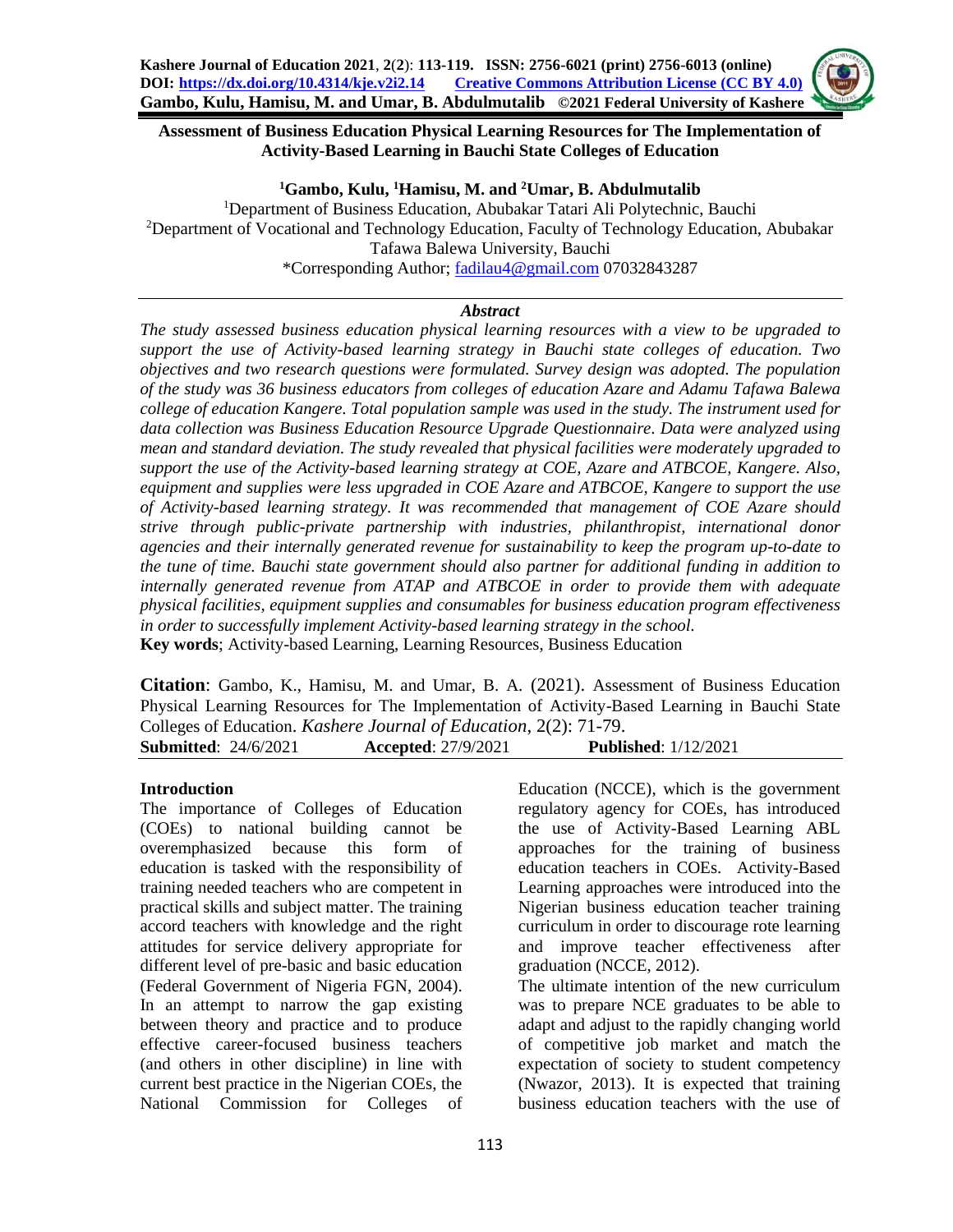### **Assessment of Business Education Physical Learning Resources for The Implementation of Activity-Based Learning in Bauchi State Colleges of Education**

#### **<sup>1</sup>Gambo, Kulu, <sup>1</sup>Hamisu, M. and <sup>2</sup>Umar, B. Abdulmutalib**

<sup>1</sup>Department of Business Education, Abubakar Tatari Ali Polytechnic, Bauchi <sup>2</sup>Department of Vocational and Technology Education, Faculty of Technology Education, Abubakar Tafawa Balewa University, Bauchi \*Corresponding Author; [fadilau4@gmail.com](mailto:fadilau4@gmail.com) 07032843287

### *Abstract*

*The study assessed business education physical learning resources with a view to be upgraded to support the use of Activity-based learning strategy in Bauchi state colleges of education. Two objectives and two research questions were formulated. Survey design was adopted. The population of the study was 36 business educators from colleges of education Azare and Adamu Tafawa Balewa college of education Kangere. Total population sample was used in the study. The instrument used for data collection was Business Education Resource Upgrade Questionnaire. Data were analyzed using mean and standard deviation. The study revealed that physical facilities were moderately upgraded to support the use of the Activity-based learning strategy at COE, Azare and ATBCOE, Kangere. Also, equipment and supplies were less upgraded in COE Azare and ATBCOE, Kangere to support the use of Activity-based learning strategy. It was recommended that management of COE Azare should strive through public-private partnership with industries, philanthropist, international donor agencies and their internally generated revenue for sustainability to keep the program up-to-date to the tune of time. Bauchi state government should also partner for additional funding in addition to internally generated revenue from ATAP and ATBCOE in order to provide them with adequate physical facilities, equipment supplies and consumables for business education program effectiveness in order to successfully implement Activity-based learning strategy in the school.*  **Key words**; Activity-based Learning, Learning Resources, Business Education

**Citation**: Gambo, K., Hamisu, M. and Umar, B. A. (2021). Assessment of Business Education Physical Learning Resources for The Implementation of Activity-Based Learning in Bauchi State Colleges of Education. *Kashere Journal of Education*, 2(2): 71-79. **Submitted**: 24/6/2021 **Accepted**: 27/9/2021 **Published**: 1/12/2021

#### **Introduction**

The importance of Colleges of Education (COEs) to national building cannot be overemphasized because this form of education is tasked with the responsibility of training needed teachers who are competent in practical skills and subject matter. The training accord teachers with knowledge and the right attitudes for service delivery appropriate for different level of pre-basic and basic education (Federal Government of Nigeria FGN, 2004). In an attempt to narrow the gap existing between theory and practice and to produce effective career-focused business teachers (and others in other discipline) in line with current best practice in the Nigerian COEs, the National Commission for Colleges of

Education (NCCE), which is the government regulatory agency for COEs, has introduced the use of Activity-Based Learning ABL approaches for the training of business education teachers in COEs. Activity-Based Learning approaches were introduced into the Nigerian business education teacher training curriculum in order to discourage rote learning and improve teacher effectiveness after graduation (NCCE, 2012). The ultimate intention of the new curriculum

was to prepare NCE graduates to be able to adapt and adjust to the rapidly changing world of competitive job market and match the expectation of society to student competency (Nwazor, 2013). It is expected that training business education teachers with the use of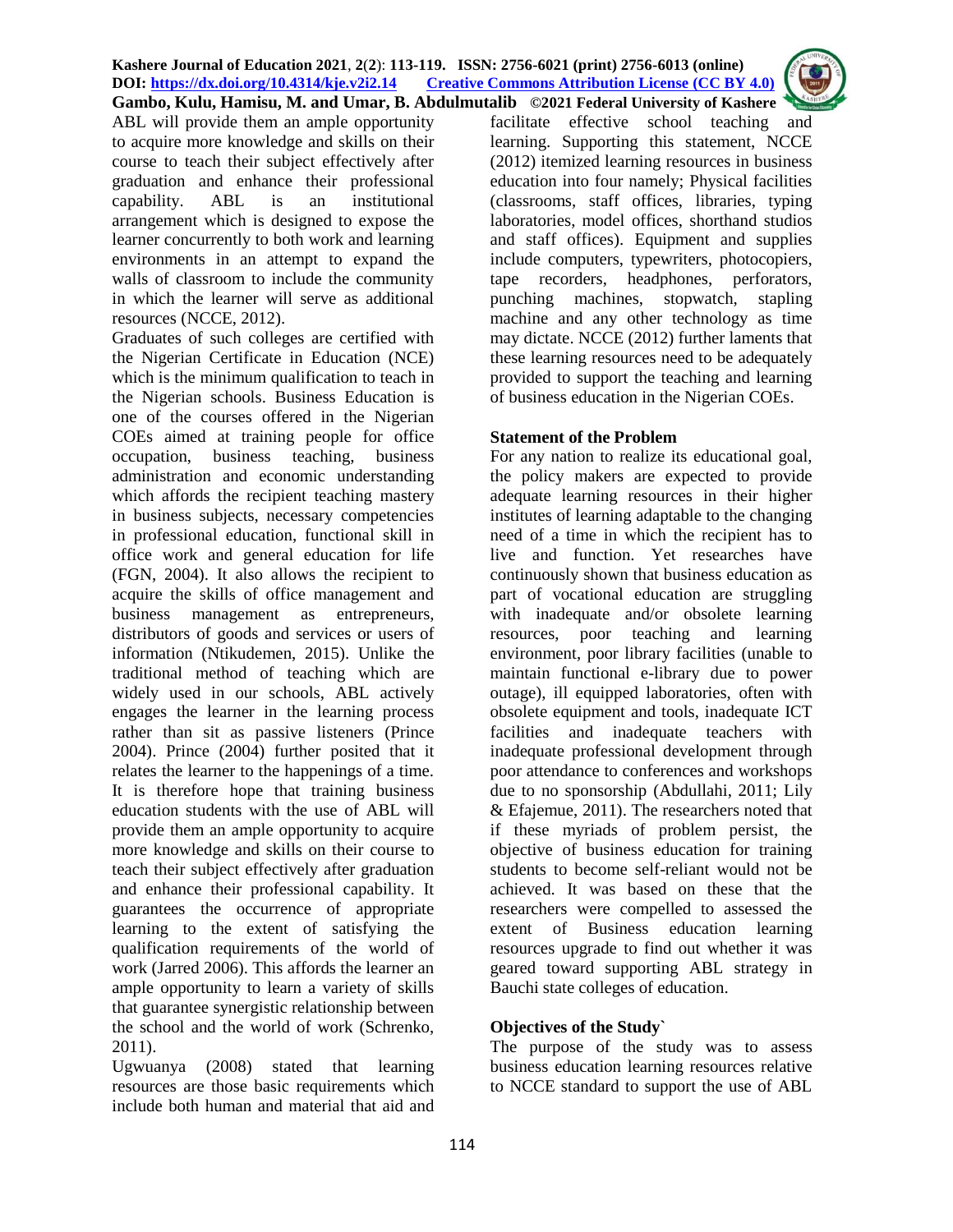ABL will provide them an ample opportunity to acquire more knowledge and skills on their course to teach their subject effectively after graduation and enhance their professional capability. ABL is an institutional arrangement which is designed to expose the learner concurrently to both work and learning environments in an attempt to expand the walls of classroom to include the community in which the learner will serve as additional resources (NCCE, 2012).

Graduates of such colleges are certified with the Nigerian Certificate in Education (NCE) which is the minimum qualification to teach in the Nigerian schools. Business Education is one of the courses offered in the Nigerian COEs aimed at training people for office occupation, business teaching, business administration and economic understanding which affords the recipient teaching mastery in business subjects, necessary competencies in professional education, functional skill in office work and general education for life (FGN, 2004). It also allows the recipient to acquire the skills of office management and business management as entrepreneurs, distributors of goods and services or users of information (Ntikudemen, 2015). Unlike the traditional method of teaching which are widely used in our schools, ABL actively engages the learner in the learning process rather than sit as passive listeners (Prince 2004). Prince (2004) further posited that it relates the learner to the happenings of a time. It is therefore hope that training business education students with the use of ABL will provide them an ample opportunity to acquire more knowledge and skills on their course to teach their subject effectively after graduation and enhance their professional capability. It guarantees the occurrence of appropriate learning to the extent of satisfying the qualification requirements of the world of work (Jarred 2006). This affords the learner an ample opportunity to learn a variety of skills that guarantee synergistic relationship between the school and the world of work (Schrenko, 2011).

Ugwuanya (2008) stated that learning resources are those basic requirements which include both human and material that aid and

facilitate effective school teaching and learning. Supporting this statement, NCCE (2012) itemized learning resources in business education into four namely; Physical facilities (classrooms, staff offices, libraries, typing laboratories, model offices, shorthand studios and staff offices). Equipment and supplies include computers, typewriters, photocopiers, tape recorders, headphones, perforators, punching machines, stopwatch, stapling machine and any other technology as time may dictate. NCCE (2012) further laments that these learning resources need to be adequately provided to support the teaching and learning of business education in the Nigerian COEs.

#### **Statement of the Problem**

For any nation to realize its educational goal, the policy makers are expected to provide adequate learning resources in their higher institutes of learning adaptable to the changing need of a time in which the recipient has to live and function. Yet researches have continuously shown that business education as part of vocational education are struggling with inadequate and/or obsolete learning resources, poor teaching and learning environment, poor library facilities (unable to maintain functional e-library due to power outage), ill equipped laboratories, often with obsolete equipment and tools, inadequate ICT facilities and inadequate teachers with inadequate professional development through poor attendance to conferences and workshops due to no sponsorship (Abdullahi, 2011; Lily & Efajemue, 2011). The researchers noted that if these myriads of problem persist, the objective of business education for training students to become self-reliant would not be achieved. It was based on these that the researchers were compelled to assessed the extent of Business education learning resources upgrade to find out whether it was geared toward supporting ABL strategy in Bauchi state colleges of education.

# **Objectives of the Study`**

The purpose of the study was to assess business education learning resources relative to NCCE standard to support the use of ABL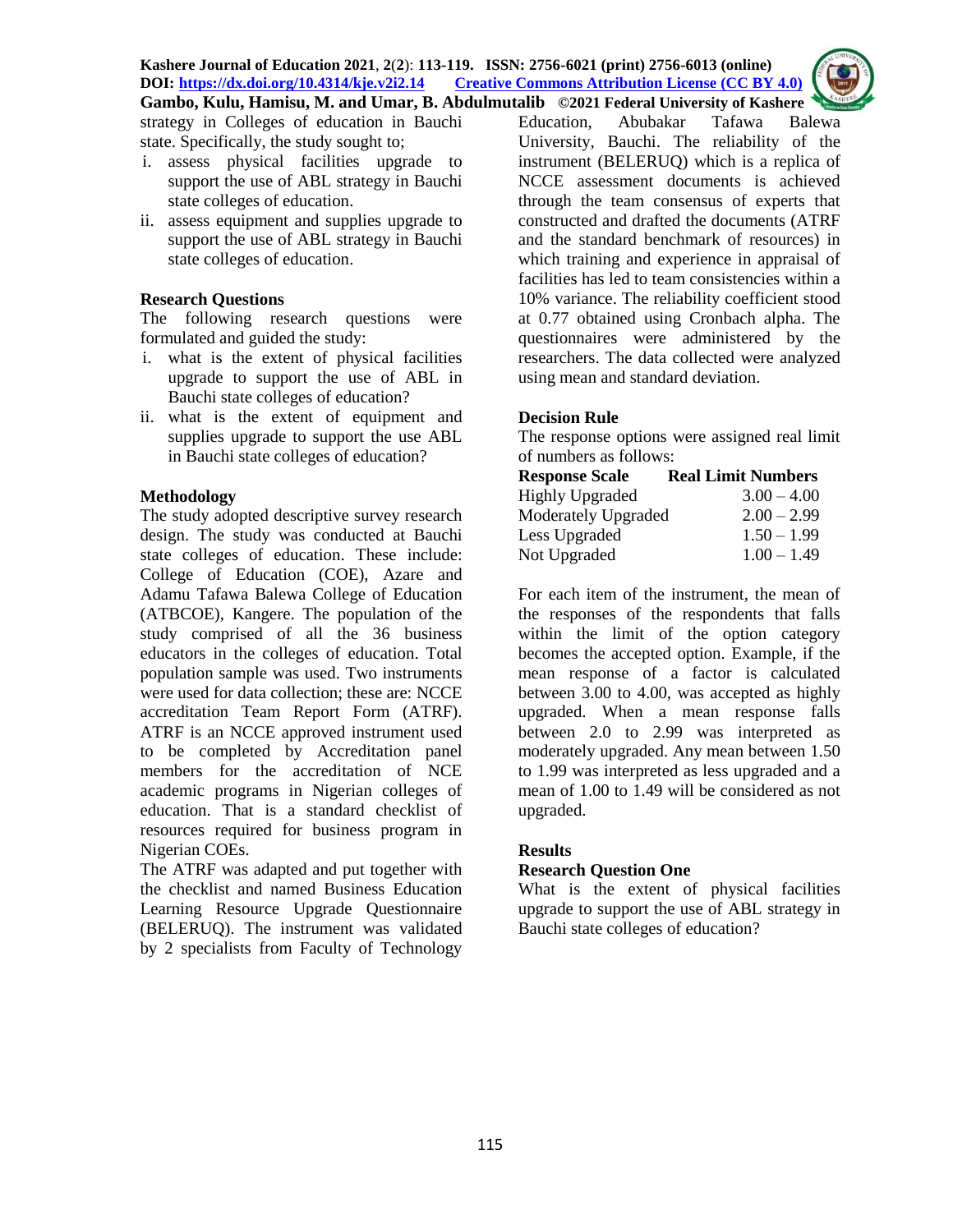

strategy in Colleges of education in Bauchi state. Specifically, the study sought to;

- i. assess physical facilities upgrade to support the use of ABL strategy in Bauchi state colleges of education.
- ii. assess equipment and supplies upgrade to support the use of ABL strategy in Bauchi state colleges of education.

# **Research Questions**

The following research questions were formulated and guided the study:

- i. what is the extent of physical facilities upgrade to support the use of ABL in Bauchi state colleges of education?
- ii. what is the extent of equipment and supplies upgrade to support the use ABL in Bauchi state colleges of education?

### **Methodology**

The study adopted descriptive survey research design. The study was conducted at Bauchi state colleges of education. These include: College of Education (COE), Azare and Adamu Tafawa Balewa College of Education (ATBCOE), Kangere. The population of the study comprised of all the 36 business educators in the colleges of education. Total population sample was used. Two instruments were used for data collection; these are: NCCE accreditation Team Report Form (ATRF). ATRF is an NCCE approved instrument used to be completed by Accreditation panel members for the accreditation of NCE academic programs in Nigerian colleges of education. That is a standard checklist of resources required for business program in Nigerian COEs.

The ATRF was adapted and put together with the checklist and named Business Education Learning Resource Upgrade Questionnaire (BELERUQ). The instrument was validated by 2 specialists from Faculty of Technology

Education, Abubakar Tafawa Balewa University, Bauchi. The reliability of the instrument (BELERUQ) which is a replica of NCCE assessment documents is achieved through the team consensus of experts that constructed and drafted the documents (ATRF and the standard benchmark of resources) in which training and experience in appraisal of facilities has led to team consistencies within a 10% variance. The reliability coefficient stood at 0.77 obtained using Cronbach alpha. The questionnaires were administered by the researchers. The data collected were analyzed using mean and standard deviation.

# **Decision Rule**

The response options were assigned real limit of numbers as follows:

| <b>Response Scale</b>      | <b>Real Limit Numbers</b> |
|----------------------------|---------------------------|
| <b>Highly Upgraded</b>     | $3.00 - 4.00$             |
| <b>Moderately Upgraded</b> | $2.00 - 2.99$             |
| Less Upgraded              | $1.50 - 1.99$             |
| Not Upgraded               | $1.00 - 1.49$             |

For each item of the instrument, the mean of the responses of the respondents that falls within the limit of the option category becomes the accepted option. Example, if the mean response of a factor is calculated between 3.00 to 4.00, was accepted as highly upgraded. When a mean response falls between 2.0 to 2.99 was interpreted as moderately upgraded. Any mean between 1.50 to 1.99 was interpreted as less upgraded and a mean of 1.00 to 1.49 will be considered as not upgraded.

# **Results**

# **Research Question One**

What is the extent of physical facilities upgrade to support the use of ABL strategy in Bauchi state colleges of education?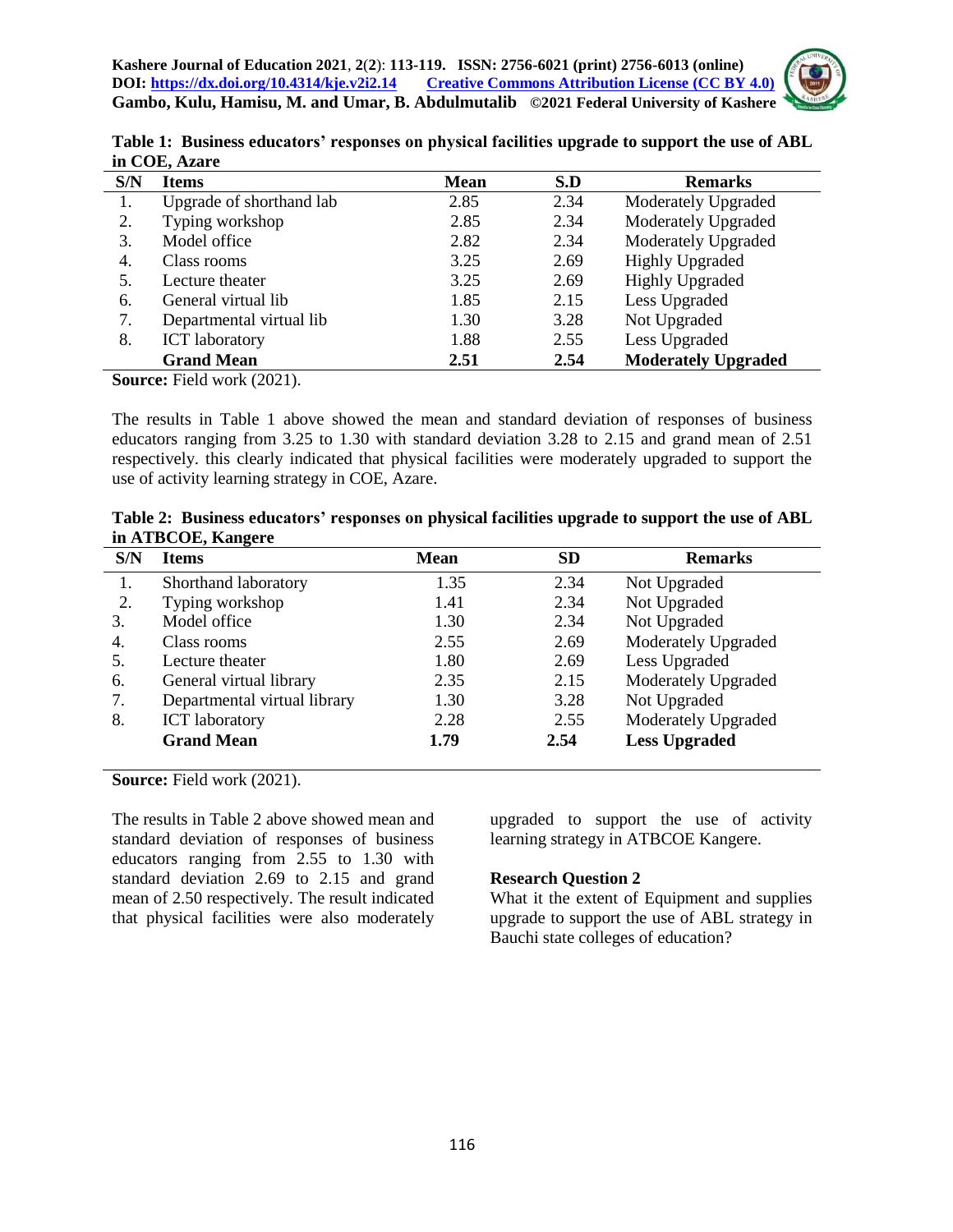

|               | Table 1: Business educators' responses on physical facilities upgrade to support the use of ABL |  |
|---------------|-------------------------------------------------------------------------------------------------|--|
| in COE, Azare |                                                                                                 |  |

|     | m $\sim$ 0 m, than $\cdot$ |             |      |                            |
|-----|----------------------------|-------------|------|----------------------------|
| S/N | <b>Items</b>               | <b>Mean</b> | S.D  | <b>Remarks</b>             |
| 1.  | Upgrade of shorthand lab   | 2.85        | 2.34 | Moderately Upgraded        |
| 2.  | Typing workshop            | 2.85        | 2.34 | Moderately Upgraded        |
| 3.  | Model office               | 2.82        | 2.34 | Moderately Upgraded        |
| 4.  | Class rooms                | 3.25        | 2.69 | <b>Highly Upgraded</b>     |
|     | Lecture theater            | 3.25        | 2.69 | <b>Highly Upgraded</b>     |
| 6.  | General virtual lib        | 1.85        | 2.15 | Less Upgraded              |
| 7.  | Departmental virtual lib   | 1.30        | 3.28 | Not Upgraded               |
| 8.  | <b>ICT</b> laboratory      | 1.88        | 2.55 | Less Upgraded              |
|     | <b>Grand Mean</b>          | 2.51        | 2.54 | <b>Moderately Upgraded</b> |

**Source:** Field work (2021).

The results in Table 1 above showed the mean and standard deviation of responses of business educators ranging from 3.25 to 1.30 with standard deviation 3.28 to 2.15 and grand mean of 2.51 respectively. this clearly indicated that physical facilities were moderately upgraded to support the use of activity learning strategy in COE, Azare.

|                    | Table 2: Business educators' responses on physical facilities upgrade to support the use of ABL |
|--------------------|-------------------------------------------------------------------------------------------------|
| in ATBCOE, Kangere |                                                                                                 |

| S/N | <b>Items</b>                 | <b>Mean</b> | <b>SD</b> | <b>Remarks</b>       |
|-----|------------------------------|-------------|-----------|----------------------|
| 1.  | Shorthand laboratory         | 1.35        | 2.34      | Not Upgraded         |
| 2.  | Typing workshop              | 1.41        | 2.34      | Not Upgraded         |
| 3.  | Model office                 | 1.30        | 2.34      | Not Upgraded         |
| 4.  | Class rooms                  | 2.55        | 2.69      | Moderately Upgraded  |
| 5.  | Lecture theater              | 1.80        | 2.69      | Less Upgraded        |
| 6.  | General virtual library      | 2.35        | 2.15      | Moderately Upgraded  |
| 7.  | Departmental virtual library | 1.30        | 3.28      | Not Upgraded         |
| 8.  | <b>ICT</b> laboratory        | 2.28        | 2.55      | Moderately Upgraded  |
|     | <b>Grand Mean</b>            | 1.79        | 2.54      | <b>Less Upgraded</b> |

**Source:** Field work (2021).

The results in Table 2 above showed mean and standard deviation of responses of business educators ranging from 2.55 to 1.30 with standard deviation 2.69 to 2.15 and grand mean of 2.50 respectively. The result indicated that physical facilities were also moderately upgraded to support the use of activity learning strategy in ATBCOE Kangere.

#### **Research Question 2**

What it the extent of Equipment and supplies upgrade to support the use of ABL strategy in Bauchi state colleges of education?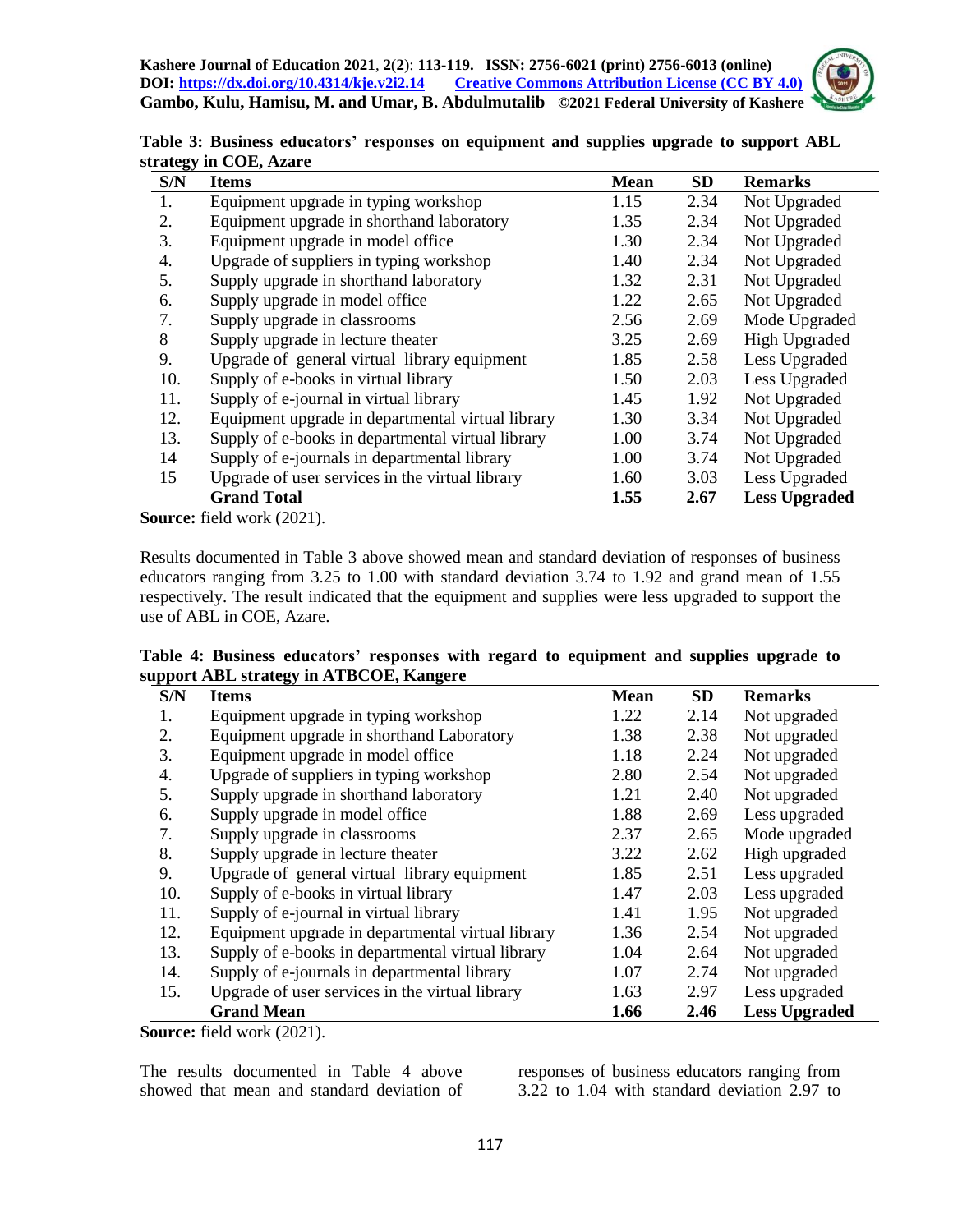**Kashere Journal of Education 2021**, **2**(**2**): **113-119. ISSN: 2756-6021 (print) 2756-6013 (online) DOI: <https://dx.doi.org/10.4314/kje.v2i2.14> [Creative Commons Attribution License](http://creativecommons.org/licenses/by/4.0/) (CC BY 4.0) Gambo, Kulu, Hamisu, M. and Umar, B. Abdulmutalib ©2021 Federal University of Kashere**



| Table 3: Business educators' responses on equipment and supplies upgrade to support ABL |  |  |  |
|-----------------------------------------------------------------------------------------|--|--|--|
| strategy in COE, Azare                                                                  |  |  |  |

| - ອະ<br>S/N | <b>Items</b>                                      | <b>Mean</b> | <b>SD</b> | <b>Remarks</b>       |
|-------------|---------------------------------------------------|-------------|-----------|----------------------|
| 1.          | Equipment upgrade in typing workshop              | 1.15        | 2.34      | Not Upgraded         |
| 2.          | Equipment upgrade in shorthand laboratory         | 1.35        | 2.34      | Not Upgraded         |
| 3.          | Equipment upgrade in model office                 | 1.30        | 2.34      | Not Upgraded         |
| 4.          | Upgrade of suppliers in typing workshop           | 1.40        | 2.34      | Not Upgraded         |
| 5.          | Supply upgrade in shorthand laboratory            | 1.32        | 2.31      | Not Upgraded         |
| 6.          | Supply upgrade in model office                    | 1.22        | 2.65      | Not Upgraded         |
| 7.          | Supply upgrade in classrooms                      | 2.56        | 2.69      | Mode Upgraded        |
| 8           | Supply upgrade in lecture theater                 | 3.25        | 2.69      | <b>High Upgraded</b> |
| 9.          | Upgrade of general virtual library equipment      | 1.85        | 2.58      | Less Upgraded        |
| 10.         | Supply of e-books in virtual library              | 1.50        | 2.03      | Less Upgraded        |
| 11.         | Supply of e-journal in virtual library            | 1.45        | 1.92      | Not Upgraded         |
| 12.         | Equipment upgrade in departmental virtual library | 1.30        | 3.34      | Not Upgraded         |
| 13.         | Supply of e-books in departmental virtual library | 1.00        | 3.74      | Not Upgraded         |
| 14          | Supply of e-journals in departmental library      | 1.00        | 3.74      | Not Upgraded         |
| 15          | Upgrade of user services in the virtual library   | 1.60        | 3.03      | Less Upgraded        |
|             | <b>Grand Total</b>                                | 1.55        | 2.67      | <b>Less Upgraded</b> |

**Source:** field work (2021).

Results documented in Table 3 above showed mean and standard deviation of responses of business educators ranging from 3.25 to 1.00 with standard deviation 3.74 to 1.92 and grand mean of 1.55 respectively. The result indicated that the equipment and supplies were less upgraded to support the use of ABL in COE, Azare.

**Table 4: Business educators' responses with regard to equipment and supplies upgrade to support ABL strategy in ATBCOE, Kangere**

| S/N | <b>Items</b>                                      | <b>Mean</b> | <b>SD</b> | <b>Remarks</b>       |
|-----|---------------------------------------------------|-------------|-----------|----------------------|
| 1.  | Equipment upgrade in typing workshop              | 1.22        | 2.14      | Not upgraded         |
| 2.  | Equipment upgrade in shorthand Laboratory         | 1.38        | 2.38      | Not upgraded         |
| 3.  | Equipment upgrade in model office                 | 1.18        | 2.24      | Not upgraded         |
| 4.  | Upgrade of suppliers in typing workshop           | 2.80        | 2.54      | Not upgraded         |
| 5.  | Supply upgrade in shorthand laboratory            | 1.21        | 2.40      | Not upgraded         |
| 6.  | Supply upgrade in model office                    | 1.88        | 2.69      | Less upgraded        |
| 7.  | Supply upgrade in classrooms                      | 2.37        | 2.65      | Mode upgraded        |
| 8.  | Supply upgrade in lecture theater                 | 3.22        | 2.62      | High upgraded        |
| 9.  | Upgrade of general virtual library equipment      | 1.85        | 2.51      | Less upgraded        |
| 10. | Supply of e-books in virtual library              | 1.47        | 2.03      | Less upgraded        |
| 11. | Supply of e-journal in virtual library            | 1.41        | 1.95      | Not upgraded         |
| 12. | Equipment upgrade in departmental virtual library | 1.36        | 2.54      | Not upgraded         |
| 13. | Supply of e-books in departmental virtual library | 1.04        | 2.64      | Not upgraded         |
| 14. | Supply of e-journals in departmental library      | 1.07        | 2.74      | Not upgraded         |
| 15. | Upgrade of user services in the virtual library   | 1.63        | 2.97      | Less upgraded        |
|     | <b>Grand Mean</b>                                 | 1.66        | 2.46      | <b>Less Upgraded</b> |

**Source:** field work (2021).

The results documented in Table 4 above showed that mean and standard deviation of responses of business educators ranging from 3.22 to 1.04 with standard deviation 2.97 to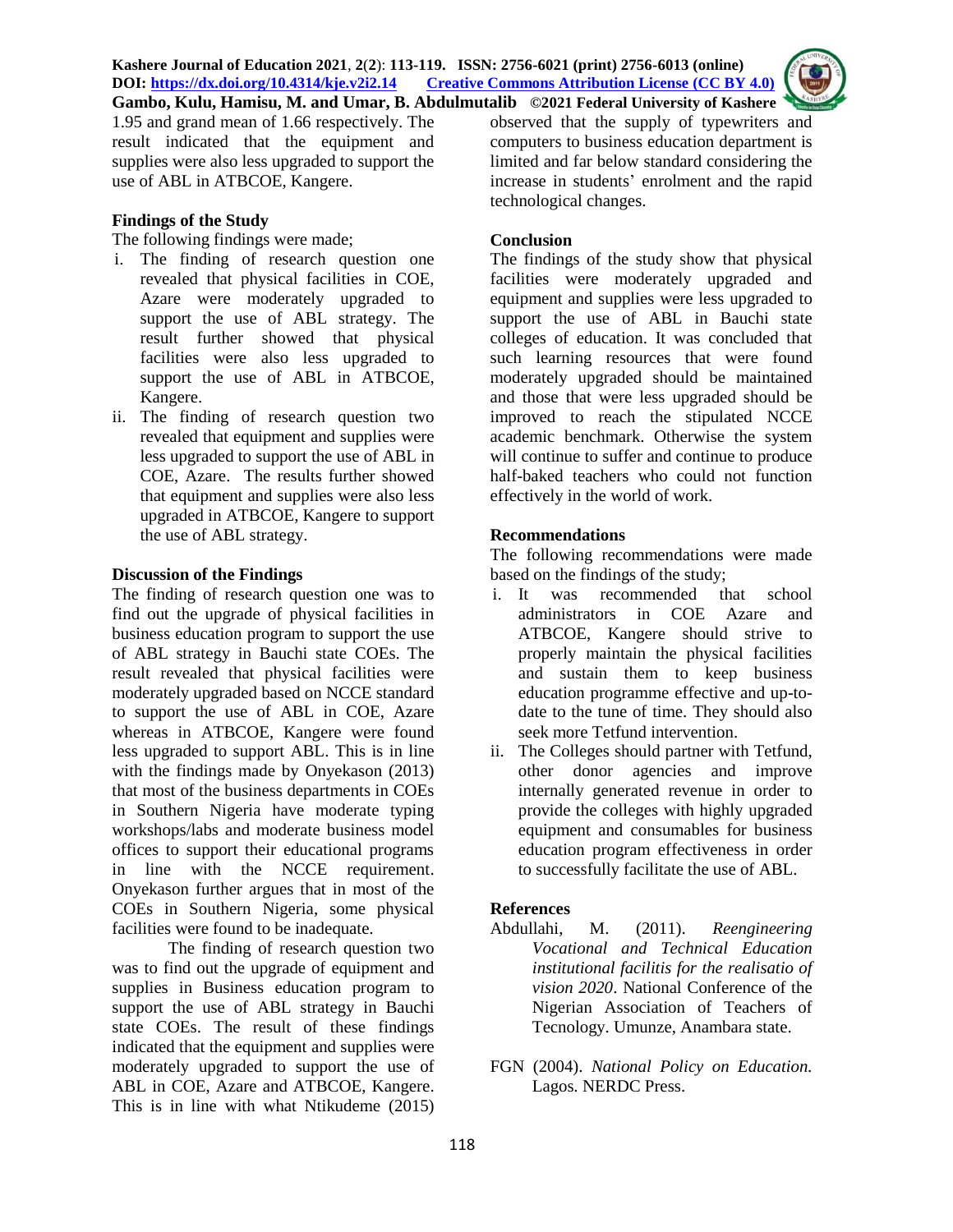

1.95 and grand mean of 1.66 respectively. The result indicated that the equipment and supplies were also less upgraded to support the use of ABL in ATBCOE, Kangere.

### **Findings of the Study**

The following findings were made;

- i. The finding of research question one revealed that physical facilities in COE, Azare were moderately upgraded to support the use of ABL strategy. The result further showed that physical facilities were also less upgraded to support the use of ABL in ATBCOE, Kangere.
- ii. The finding of research question two revealed that equipment and supplies were less upgraded to support the use of ABL in COE, Azare. The results further showed that equipment and supplies were also less upgraded in ATBCOE, Kangere to support the use of ABL strategy.

### **Discussion of the Findings**

The finding of research question one was to find out the upgrade of physical facilities in business education program to support the use of ABL strategy in Bauchi state COEs. The result revealed that physical facilities were moderately upgraded based on NCCE standard to support the use of ABL in COE, Azare whereas in ATBCOE, Kangere were found less upgraded to support ABL. This is in line with the findings made by Onyekason (2013) that most of the business departments in COEs in Southern Nigeria have moderate typing workshops/labs and moderate business model offices to support their educational programs in line with the NCCE requirement. Onyekason further argues that in most of the COEs in Southern Nigeria, some physical facilities were found to be inadequate.

The finding of research question two was to find out the upgrade of equipment and supplies in Business education program to support the use of ABL strategy in Bauchi state COEs. The result of these findings indicated that the equipment and supplies were moderately upgraded to support the use of ABL in COE, Azare and ATBCOE, Kangere. This is in line with what Ntikudeme (2015)

observed that the supply of typewriters and computers to business education department is limited and far below standard considering the increase in students' enrolment and the rapid technological changes.

### **Conclusion**

The findings of the study show that physical facilities were moderately upgraded and equipment and supplies were less upgraded to support the use of ABL in Bauchi state colleges of education. It was concluded that such learning resources that were found moderately upgraded should be maintained and those that were less upgraded should be improved to reach the stipulated NCCE academic benchmark. Otherwise the system will continue to suffer and continue to produce half-baked teachers who could not function effectively in the world of work.

# **Recommendations**

The following recommendations were made based on the findings of the study;

- i. It was recommended that school administrators in COE Azare and ATBCOE, Kangere should strive to properly maintain the physical facilities and sustain them to keep business education programme effective and up-todate to the tune of time. They should also seek more Tetfund intervention.
- ii. The Colleges should partner with Tetfund, other donor agencies and improve internally generated revenue in order to provide the colleges with highly upgraded equipment and consumables for business education program effectiveness in order to successfully facilitate the use of ABL.

# **References**

- Abdullahi, M. (2011). *Reengineering Vocational and Technical Education institutional facilitis for the realisatio of vision 2020*. National Conference of the Nigerian Association of Teachers of Tecnology. Umunze, Anambara state.
- FGN (2004). *National Policy on Education.*  Lagos*.* NERDC Press.